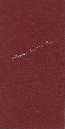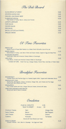The Deli Board

| <b>SLICED BREAST of TURKEY</b>                                                  | 3.95 |
|---------------------------------------------------------------------------------|------|
| <b>IMPORTED DANISH HAM</b>                                                      | 3.85 |
| STACKED, LEAN ROAST BEEF                                                        | 3.95 |
| <b>CLUBHOUSE SPECIAL</b><br>Triple Decker of Turkey, Bacon, Lettuce and Tomato. | 4.50 |
| <b>JUNIOR CLUBHOUSE</b>                                                         | 4.25 |
| <b>TUNA SALAD</b>                                                               | 3.95 |
| <b>CHICKEN SALAD</b>                                                            | 3.95 |
| EGG SALAD                                                                       | 3.50 |
| BACON, LETTUCE and TOMATO                                                       | 3.85 |
| <b>GRILLED CHEESE</b>                                                           | 3.50 |
|                                                                                 |      |

Ol' Time Favorites

| <b>FRENCH DIP</b><br>Quarter-Pound of Roast Beef Nested on a Grilled French Roll with a Cup of Au Jus.            | 4.50 |
|-------------------------------------------------------------------------------------------------------------------|------|
| <b>MONTE CRISTO</b><br>Sliced Breast of Turkey, Lean Slice of Ham and Swiss Cheese, Dipped in Egg and Deep-Fried. | 5.25 |
| <b>GLENDORA FAVORITE</b><br>Roast Beef, Swiss and American Cheese Grilled on Sourdough.                           | 4.35 |
| <b>19TH HOLE</b><br>Crisp Bacon, Tomato and American Cheese Grilled on Sourdough.                                 | 3.95 |

**CHOICE OF ONE: Fresh Fruit Cup, Cottage Cheese, French Fries, Cole Slaw or Potato Salad.** 

**Breakfast Favorites** 

| EGG BENEDICT<br>Canadian Bacon and Poached Egg on a Toasted English Muffin, Topped with Hollandaise Sauce.                                             | 4.95 |
|--------------------------------------------------------------------------------------------------------------------------------------------------------|------|
| <b>RINGTUM DITTY TIMO</b><br>Mushrooms, Bell Peppers, Onions, Tomatoes, Ortega Chile, Jack Cheese and Four Eqgs,<br>Served with Hash Browns and Toast. | 4.25 |
| <b>EGG BURRITO</b><br>Flour Tortilla Stuffed with Ham, Ortega Chile and Cheese, Served with Salsa.                                                     | 3.85 |
| <b>FRIED EGG SANDWICH WITH BACON</b><br>Served with Side of Sliced Tomatoes.                                                                           | 3.25 |

Omelettes

Served with Hash Browns and Toast.

PLAIN OL' OMELETIE " BUILT TO ORDER"

2.95 **Per Item .30** 

American Cheese Swiss Cheese Jack Cheese **Scallions** 

Ham **Bacon Mushrooms Avocado** 

Ortega Chile Bell Peppers **Onions** Tomatoes

EGGS TO ORDER **Includes Potatoes - Ham, Bacon or Sausage - Two Eggs and Toast.**  3.25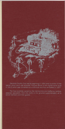

Glendora Country Club had its beginning in 1954 when a portion of the Warren citrus ranch was acquired. Pictured above is the original home (built in 1910) which was converted to a clubhouse and first remodeled in 1957.

The Club is entirely owned by the membership and staffed by carefully selected specialists, from the chefs to the grounds superintendent, all to serve members and their guests.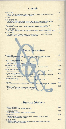Salads

| <b>CHEF SALAD</b><br>Julienne of Ham, Turkey, Swiss and American Cheese on a Bed of Tossed Salad Greens,<br>Tomato, Egg, Asparagus and Black Olive Garnish.<br>1/ <sub>2</sub> CHEF                           | 5.25<br>3.25 |
|---------------------------------------------------------------------------------------------------------------------------------------------------------------------------------------------------------------|--------------|
| <b>Small 4.50</b><br><b>CHICKEN ORIENTAL</b><br>Mixed Greens Tossed with Grated Carrot and Bean Sprouts, Topped with Tender Breast<br>of Chicken, Tomato Wedges, Hard-Cooked Egg, Scallions and Sesame Seeds. | 5.50         |
| <b>Small</b> 4.50<br>PACIFIC COBB<br>Bay Shrimp, Avocado, Bacon, Tomato, Bleu Cheese Crumbles and Grated Egg.                                                                                                 | 5.50         |
| <b>Small 3.50</b><br><b>FLORENTINE SALAD</b><br>Fresh Spinach Crowned with Sliced Mushrooms, Bacon Bits, Chopped Egg and Sliced Beets.                                                                        | 4.50         |
| Small 4.65<br><b>MIX and MATCH</b><br>Your Choice of Fresh Papaya, Avocado or Tomato Filled with Tuna, Chix or Egg Salad,<br>Served on a Bed of Lettuce with Cheese and Banana Bread.                         | 5.65         |
| House Specialties                                                                                                                                                                                             |              |

| <b>LADIES PAR</b>                                                                                                   | 3.95 |
|---------------------------------------------------------------------------------------------------------------------|------|
| Three Finger Sandwiches Made with Chicken Salad, Tuna Salad, Banana Nut Bread                                       |      |
| and Cream Cheese, Served with Fresh Fruit Slices or a Cup of Soup.                                                  |      |
| PHILLY CHEESE SANDWICH                                                                                              | 4.50 |
| Sliced Roast Beef on a French Roll with Sauteed Onlons                                                              |      |
| and American Cheese, Served with Potato Salad.                                                                      |      |
|                                                                                                                     | 4.50 |
| <b>CROISSANT CORDON BLEU</b><br>Baked with Ham, Turkey and Swiss Cheese, Served with a Watermelon Wedge.            |      |
|                                                                                                                     |      |
| <b>CALIFORNIA CROISSANT</b>                                                                                         | 4.25 |
| Stuffed with Avocado, Bacon, Tomato and Alfalfa Sprouts, Served with Fresh Fruit Cup.                               |      |
|                                                                                                                     | 4.25 |
| <b>FETTUCCINI PRIMAVERA</b><br>Fresh Broccoll, Mushrooms, and Fettuccini Noodles in a Rich Cream Sauce, Topped with |      |
| Grated Parmesan and Served with Our Garlic Cheese Bread.                                                            |      |
|                                                                                                                     |      |
| <b>CHICKEN SANDWICH</b>                                                                                             | 4.95 |
| Charbrolled Breast Served Open-Faced on a Toasted Bun with French Fries.                                            |      |
| <b>CRAB MELT</b>                                                                                                    | 5.95 |
| Crab, Sliced Tomato and Swiss Cheese on a Toasted English Muffin, Served with a Peach Half.                         |      |
|                                                                                                                     | 3.60 |
| <b>SOUPER HALFER</b>                                                                                                |      |
| Bowl of Soup or a Dinner Salad and Half of a Sandwich<br>(Ham, Turkey, Roast Beef, Tuna, Chicken or Egg Salad.)     |      |
|                                                                                                                     |      |

Mexican Delights

| <b>CHEESE ENCHILADA</b><br>Topped with Sour Cream, Scallions and Olives.                                                                         | 3.85 |
|--------------------------------------------------------------------------------------------------------------------------------------------------|------|
| <b>SEAFOOD BURRITO</b><br>Flour Tortilla Stuffed with Shrimp, Crab and Scallions.                                                                | 4.50 |
| <b>TACO POCKET</b><br>Julienne of Beef, Onions and Cheese, Stuffed in Pita Bread, Served with Salsa,<br>Shredded Lettuce and Diced Tomato.       | 4.25 |
| <b>CHICKEN FAJITAS</b><br>Marinated Chicken, Onlons and Bell Pepper in a Flour Tortilla, Served with Lettuce,<br>Tomato, Avocado and Sour Cream. | 4.85 |